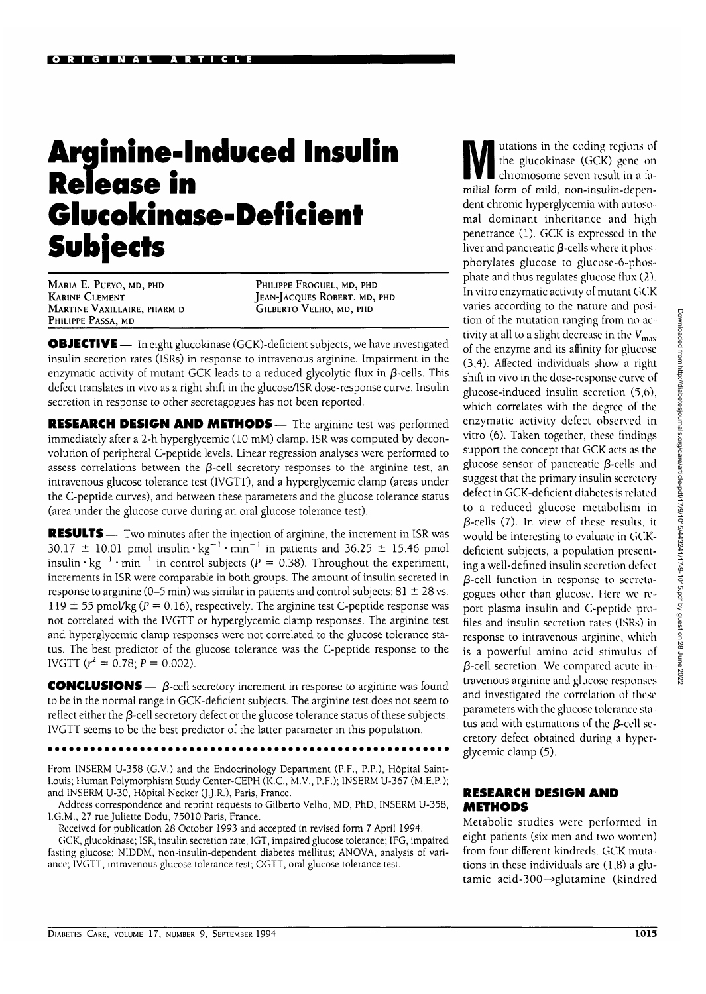## **Arginine-lnduced Insulin Release in Glucokinase-Deficient Subjects**

MARIA E. PUEYO, MD, PHD KARINE CLEMENT MARTINE VAXILLAIRE, PHARM D PHILIPPE PASSA, MD

PHILIPPE FROGUEL, MD, PHD JEAN-JACQUES ROBERT, MD, PHD GILBERTO VELHO, MD, PHD

**OBJECTIVE** - In eight glucokinase (GCK)-deficient subjects, we have investigated insulin secretion rates (ISRs) in response to intravenous arginine. Impairment in the enzymatic activity of mutant GCK leads to a reduced glycolytic flux in  $\beta$ -cells. This defect translates in vivo as a right shift in the glucose/ISR dose-response curve. Insulin secretion in response to other secretagogues has not been reported.

**RESEARCH DESIGN AND METHODS** — The arginine test was performed immediately after a 2-h hyperglycemic (10 mM) clamp. ISR was computed by deconvolution of peripheral C-peptide levels. Linear regression analyses were performed to assess correlations between the  $\beta$ -cell secretory responses to the arginine test, an intravenous glucose tolerance test (IVGTT), and a hyperglycemic clamp (areas under the C-peptide curves), and between these parameters and the glucose tolerance status (area under the glucose curve during an oral glucose tolerance test).

**RESULTS** — Two minutes after the injection of arginine, the increment in ISR was 30.17  $\pm$  10.01 pmol insulin  $\cdot$  kg<sup>-1</sup>  $\cdot$  min $^{-1}$  in patients and 36.25  $\pm$  15.46 pmol insulin  $\cdot$  kg<sup>-1</sup>  $\cdot$  min<sup>-1</sup> in control subjects (P = 0.38). Throughout the experiment, increments in ISR were comparable in both groups. The amount of insulin secreted in response to arginine (0–5 min) was similar in patients and control subjects:  $81 \pm 28$  vs. 119  $\pm$  55 pmol/kg (P = 0.16), respectively. The arginine test C-peptide response was not correlated with the IVGTT or hyperglycemic clamp responses. The arginine test and hyperglycemic clamp responses were not correlated to the glucose tolerance status. The best predictor of the glucose tolerance was the C-peptide response to the IVGTT  $(r^2 = 0.78; P = 0.002)$ .

**CONCLUSIONS**  $\qquad$   $\beta$ -cell secretory increment in response to arginine was found to be in the normal range in GCK-deficient subjects. The arginine test does not seem to reflect either the  $\beta$ -cell secretory defect or the glucose tolerance status of these subjects. IVGTT seems to be the best predictor of the latter parameter in this population.

From 1NSERM U-358 (G.V.) and the Endocrinology Department (P.F., P.P.), Hopital Saint-Louis; Human Polymorphism Study Center-CEPH (K.C., M.V., P.F.); INSERM U-367 (M.E.P.); and INSERM U-30, Hopital Necker Q.J.R.), Paris, France.

Address correspondence and reprint requests to Gilberto Velho, MD, PhD, INSERM U-358, I.G.M., 27 rue Juliette Dodu, 75010 Paris, France.

Received for publication 28 October 1993 and accepted in revised form 7 April 1994.

GCK, glucokinase; ISR, insulin secretion rate; IGT, impaired glucose tolerance; IFG, impaired fasting glucose; NIDDM, non-insulin-dependent diabetes mellitus; ANOVA, analysis of variance; IVGTT, intravenous glucose tolerance test; OGTT, oral glucose tolerance test.

utations in the coding regions of the glucokinase (GCK) gene on chromosome seven result in a familial form of mild, non-insulin-dependent chronic hyperglycemia with autoso-mal dominant inheritance and high penetrance (1). GCK is expressed in the liver and pancreatic  $\beta$ -cells where it phosphorylates glucose to glucose-6-phosphate and thus regulates glucose flux (2). In vitro enzymatic activity of mutant GCK varies according to the nature and position of the mutation ranging from no activity at all to a slight decrease in the  $V_{\rm max}$ of the enzyme and its affinity for glucose (3,4). Affected individuals show a right shift in vivo in the dose-response curve of glucose-induced insulin secretion (5,6), which correlates with the degree of the enzymatic activity defect observed in vitro (6). Taken together, these findings support the concept that GCK acts as the glucose sensor of pancreatic  $\beta$ -cells and suggest that the primary insulin secretory defect in GCK-deficient diabetes is related to a reduced glucose metabolism in  $\beta$ -cells (7). In view of these results, it would be interesting to evaluate in GCKdeficient subjects, a population presenting a well-defined insulin secretion defect  $\beta$ -cell function in response to secretagogues other than glucose. Here we report plasma insulin and C-peptide profiles and insulin secretion rates (ISRs) in response to intravenous arginine, which is a powerful amino acid stimulus of  $\beta$ -cell secretion. We compared acute intravenous arginine and glucose responses and investigated the correlation of these parameters with the glucose tolerance status and with estimations of the  $\beta$ -cell secus and with estimations of the preciriseglycemic clamp (5).

## **RESEARCH DESIGN AND METHODS**

Metabolic studies were performed in eight patients (six men and two women) from four different kindreds. GCK mutations in these individuals are (1,8) a glutamic acid-300—>glutamine (kindred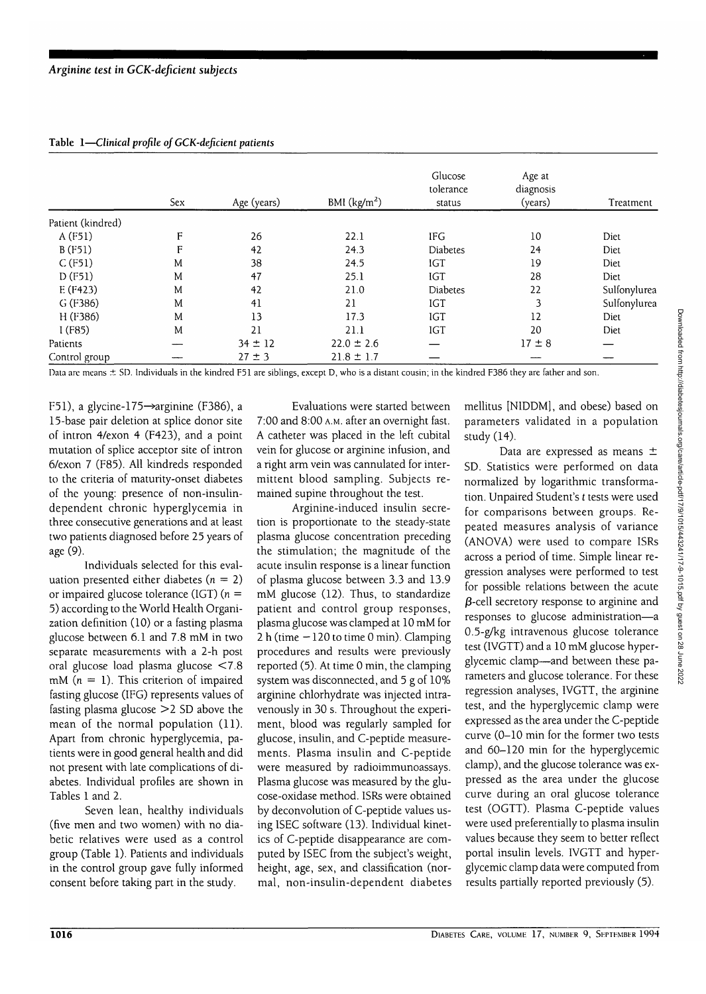Table 1—*Clinical profile of GCK-deficient patients*

|                   |     |             |                | Glucose<br>tolerance | Age at<br>diagnosis |              |
|-------------------|-----|-------------|----------------|----------------------|---------------------|--------------|
|                   | Sex | Age (years) | BMI $(kg/m2)$  | status               | (years)             | Treatment    |
| Patient (kindred) |     |             |                |                      |                     |              |
| A (F51)           | F   | 26          | 22.1           | <b>IFG</b>           | 10                  | Diet         |
| B (F51)           | F   | 42          | 24.3           | Diabetes             | 24                  | Diet         |
| C(F51)            | Μ   | 38          | 24.5           | IGT                  | 19                  | Diet         |
| D(F51)            | M   | 47          | 25.1           | <b>IGT</b>           | 28                  | Diet         |
| E(F423)           | M   | 42          | 21.0           | Diabetes             | 22                  | Sulfonylurea |
| $G$ (F386)        | M   | 41          | 21             | IGT                  | 3                   | Sulfonylurea |
| H (F386)          | M   | 13          | 17.3           | <b>IGT</b>           | 12                  | Diet         |
| I(F85)            | M   | 21          | 21.1           | <b>IGT</b>           | 20                  | Diet         |
| Patients          |     | $34 \pm 12$ | $22.0 \pm 2.6$ |                      | $17 \pm 8$          |              |
| Control group     |     | $27 \pm 3$  | $21.8 \pm 1.7$ |                      |                     |              |

Data are means ± SD. Individuals in the kindred F51 are siblings, except D, who is a distant cousin; in the kindred F386 they are father and son.

F51), a glycine-175 $\rightarrow$ arginine (F386), a 15-base pair deletion at splice donor site of intron 4/exon 4 (F423), and a point mutation of splice acceptor site of intron 6/exon 7 (F85). All kindreds responded to the criteria of maturity-onset diabetes of the young: presence of non-insulindependent chronic hyperglycemia in three consecutive generations and at least two patients diagnosed before 25 years of age (9).

Individuals selected for this evaluation presented either diabetes ( $n = 2$ ) or impaired glucose tolerance (IGT) ( $n =$ 5) according to the World Health Organization definition (10) or a fasting plasma glucose between 6.1 and 7.8 mM in two separate measurements with a 2-h post oral glucose load plasma glucose <7.8 mM ( $n = 1$ ). This criterion of impaired fasting glucose (IFG) represents values of fasting plasma glucose >2 SD above the mean of the normal population (11). Apart from chronic hyperglycemia, patients were in good general health and did not present with late complications of diabetes. Individual profiles are shown in Tables 1 and 2.

Seven lean, healthy individuals (five men and two women) with no diabetic relatives were used as a control group (Table 1). Patients and individuals in the control group gave fully informed consent before taking part in the study.

Evaluations were started between 7:00 and 8:00 A.M. after an overnight fast. A catheter was placed in the left cubital vein for glucose or arginine infusion, and a right arm vein was cannulated for intermittent blood sampling. Subjects remained supine throughout the test.

Arginine-induced insulin secretion is proportionate to the steady-state plasma glucose concentration preceding the stimulation; the magnitude of the acute insulin response is a linear function of plasma glucose between 3.3 and 13.9 mM glucose (12). Thus, to standardize patient and control group responses, plasma glucose was clamped at 10 mM for 2 h (time —120 to time 0 min). Clamping procedures and results were previously reported (5). At time 0 min, the clamping system was disconnected, and 5 g of 10% arginine chlorhydrate was injected intravenously in 30 s. Throughout the experiment, blood was regularly sampled for glucose, insulin, and C-peptide measurements. Plasma insulin and C-peptide were measured by radioimmunoassays. Plasma glucose was measured by the glucose-oxidase method. ISRs were obtained by deconvolution of C-peptide values using ISEC software (13). Individual kinetics of C-peptide disappearance are computed by ISEC from the subject's weight, height, age, sex, and classification (normal, non-insulin-dependent diabetes mellitus [NIDDM], and obese) based on parameters validated in a population study (14).

Data are expressed as means ± SD. Statistics were performed on data normalized by logarithmic transformation. Unpaired Student's *t* tests were used for comparisons between groups. Repeated measures analysis of variance (ANOVA) were used to compare ISRs across a period of time. Simple linear regression analyses were performed to test for possible relations between the acute  $\beta$ -cell secretory response to arginine and responses to glucose administration—a 0.5-g/kg intravenous glucose tolerance test (IVGTT) and a 10 mM glucose hyperglycemic clamp—and between these parameters and glucose tolerance. For these regression analyses, IVGTT, the arginine test, and the hyperglycemic clamp were expressed as the area under the C-peptide curve (0-10 min for the former two tests and 60-120 min for the hyperglycemic clamp), and the glucose tolerance was expressed as the area under the glucose curve during an oral glucose tolerance test (OGTT). Plasma C-peptide values were used preferentially to plasma insulin values because they seem to better reflect portal insulin levels. IVGTT and hyperglycemic clamp data were computed from results partially reported previously (5).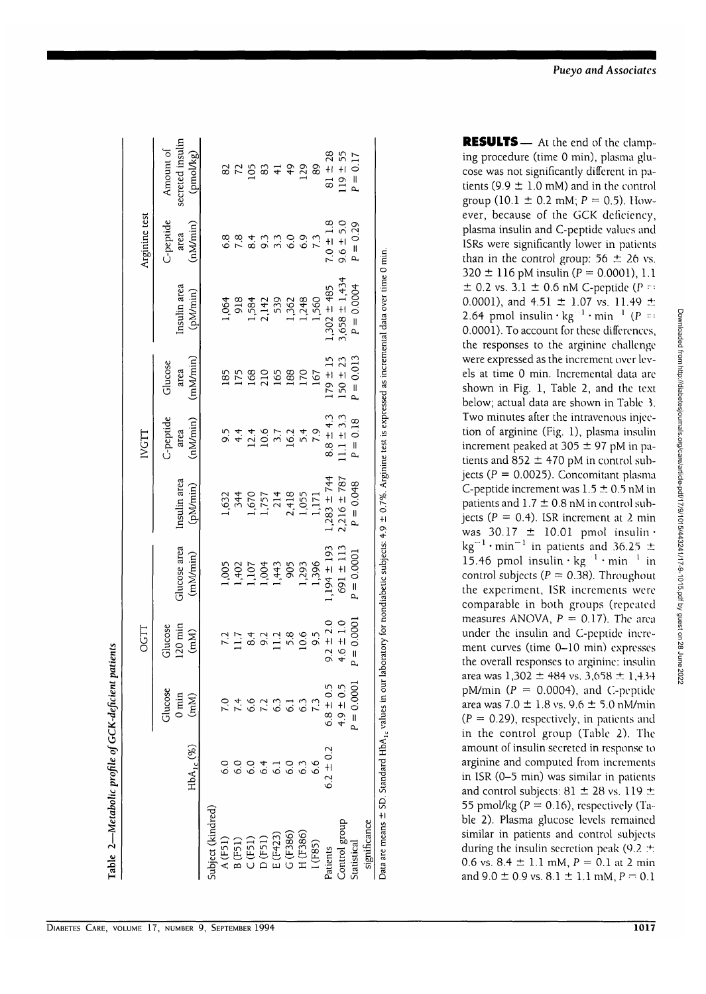|                                                                                                                                                                           |                 |                                       | <b>OGTT</b>                  |                          |                          | IVGTT                        |                             |                          | Arginine test                    |                                            |
|---------------------------------------------------------------------------------------------------------------------------------------------------------------------------|-----------------|---------------------------------------|------------------------------|--------------------------|--------------------------|------------------------------|-----------------------------|--------------------------|----------------------------------|--------------------------------------------|
|                                                                                                                                                                           | $HbA_{1c}$ (%)  | Glucose<br>$0 \min$<br>$\binom{m}{k}$ | $120$ min<br>Glucose<br>(mM) | Glucose area<br>(mM/min) | Insulin area<br>(pM/min) | C-peptide<br>(nMmin)<br>area | (mM/min)<br>Glucose<br>area | Insulin area<br>(pM/min) | C-peptide<br>( $nMmin$ )<br>area | secreted insulin<br>Amount of<br>(pmol/kg) |
| Subject (kindred)                                                                                                                                                         |                 |                                       |                              |                          |                          |                              |                             |                          |                                  |                                            |
| A(F51)                                                                                                                                                                    |                 |                                       |                              | 1,005                    | 1,632                    |                              | 185                         | 1,064                    | 6.8                              |                                            |
| B(F51)                                                                                                                                                                    | 6.0             |                                       | $\frac{7.2}{1.7}$            |                          | 344                      | $9.4 +$                      | 175                         | 918                      | 7.8                              | 8 K S                                      |
| C(F51)                                                                                                                                                                    | 6.0             | $74$<br>6.6                           | 8.4                          | 1,402<br>1,107           | 1,670                    |                              | 168                         |                          | $\overline{8.4}$                 |                                            |
| D(F51)                                                                                                                                                                    | 6.4             | $7.\overline{3}$                      | 9.2                          | 1,004                    | 1,757                    | $12.4$<br>$10.6$             | 210                         | 1,584<br>2,142           | 9.3                              | 83                                         |
| E(F423)                                                                                                                                                                   | $\overline{61}$ |                                       | 11.2                         | 1,443                    | 214                      | 3.7                          | 165                         | 539                      | $\overline{3}$ .                 | $\overline{4}$                             |
| G(F386)                                                                                                                                                                   | 6.0             | 6.3                                   | 5.8                          | 905                      |                          | 16.2                         | 188                         |                          | $\frac{6}{6}$                    | $\frac{4}{9}$                              |
| H(F386)                                                                                                                                                                   | 63              |                                       | 10.6                         | 1,293                    | 2,418<br>1,055           | 5.4                          | 170                         | 1,362<br>1,248           | 6.9                              | 129                                        |
| 1(F85)                                                                                                                                                                    | 6.6             |                                       | 9.5                          | 1,396                    | 1,171                    | 7.9                          | 167                         | 1,560                    |                                  | 89                                         |
| Patients                                                                                                                                                                  | $6.2 \pm 0.2$   | $6.8 \pm 0.5$                         | $9.2 \pm 2.0$                | $1,194 \pm 193$          | $.283 \pm 744$           | $8.8 \pm 4.3$                | $179 \pm 15$                | $.302 \pm 485$           | $7.0 \pm 1.8$                    | $81 \pm 28$                                |
| Control group                                                                                                                                                             |                 | $4.9 \pm 0.5$                         | $4.6 \pm 1.0$                | $691 \pm 113$            | $2,216 \pm 787$          | $.1.1 \pm 3.3$               | $150 \pm 23$                | $3,658 \pm 1,434$        | $9.6 \pm 5.0$                    | $119 \pm 55$                               |
| Statistical                                                                                                                                                               |                 | $P = 0.0001$                          | $= 0.0001$<br>ρ.,            | $P = 0.0001$             | $P = 0.048$              | $P = 0.18$                   | $P = 0.013$                 | $P = 0.0004$             | $P = 0.29$                       | $P = 0.17$                                 |
| significance                                                                                                                                                              |                 |                                       |                              |                          |                          |                              |                             |                          |                                  |                                            |
| Data are means $\pm$ SD. Standard HbA, values in our laboratory for nondiabetic subjects: 4.9 $\pm$ 0.7%. Argining test is expressed as incremental data over time 0 min. |                 |                                       |                              |                          |                          |                              |                             |                          |                                  |                                            |

ق.<br>- $\frac{c}{\epsilon}$ 

| RESULTS - At the end of the clamp-                                        |
|---------------------------------------------------------------------------|
| ing procedure (time 0 min), plasma glu-                                   |
| cose was not significantly different in pa-                               |
| tients (9.9 $\pm$ 1.0 mM) and in the control                              |
| group $(10.1 \pm 0.2 \text{ mM}; P = 0.5)$ . How-                         |
| ever, because of the GCK deficiency,                                      |
| plasma insulin and C-peptide values and                                   |
| ISRs were significantly lower in patients                                 |
| than in the control group: $56 \pm 26$ vs.                                |
| 320 $\pm$ 116 pM insulin ( $P = 0.0001$ ), 1.1                            |
| $\pm$ 0.2 vs. 3.1 $\pm$ 0.6 nM C-peptide (P = :                           |
| 0.0001), and $4.51 \pm 1.07$ vs. 11.49 $\pm$                              |
| 2.64 pmol insulin $\cdot$ kg <sup>-1</sup> $\cdot$ min <sup>-1</sup> (P = |
| 0.0001). To account for these differences,                                |
| the responses to the arginine challenge                                   |
| were expressed as the increment over lev-                                 |
| els at time 0 min. Incremental data are                                   |
| shown in Fig. 1, Table 2, and the text                                    |
| below; actual data are shown in Table 3.                                  |
| Two minutes after the intravenous injec-                                  |
| tion of arginine (Fig. 1), plasma insulin                                 |
| increment peaked at 305 ± 97 pM in pa-                                    |
| tients and $852 \pm 470$ pM in control sub-                               |
| jects ( $P = 0.0025$ ). Concomitant plasma                                |
| C-peptide increment was $1.5 \pm 0.5$ nM in                               |
| patients and $1.7 \pm 0.8$ nM in control sub-                             |
| jects ( $P = 0.4$ ). ISR increment at 2 min                               |
| was $30.17 \pm 10.01$ pmol insulin ·                                      |
| $\text{kg}^{-1} \cdot \text{min}^{-1}$ in patients and 36.25 $\pm$        |
| 15.46 pmol insulin $\cdot$ kg $^{-1}$ $\cdot$ min $^{-1}$ in              |
| control subjects ( $P = 0.38$ ). Throughout                               |
| the experiment, ISR increments were                                       |
| comparable in both groups (repeated                                       |
| measures ANOVA, $P = 0.17$ ). The area                                    |
| under the insulin and C-peptide incre-                                    |
| ment curves (time 0-10 min) expresses                                     |
| the overall responses to arginine: insulin                                |
| area was $1,302 \pm 484$ vs. 3,658 $\pm$ 1,434                            |
| pM/min ( $P = 0.0004$ ), and C-peptide                                    |
| area was $7.0 \pm 1.8$ vs. $9.6 \pm 5.0$ nM/min                           |
| $(P = 0.29)$ , respectively, in patients and                              |
| in the control group (Table 2). The                                       |
| amount of insulin secreted in response to                                 |
| arginine and computed from increments                                     |
| in ISR (0-5 min) was similar in patients                                  |
| and control subjects: 81 $\pm$ 28 vs. 119 $\pm$                           |
| $E E$ and $\{A_m / D = 0, 16\}$ and<br>and a contract of the con-         |

Downloaded from http://diabetesjournals.org/care/article-pdf/17/9/1015/443241/17-9-1015.pdf by guest on 28 June 2022 Downloaded from http://diabetesjournals.org/care/article-pdf/17/9/1015/443241/17-9-1015.pdf by guest on 28 June 2022

 $\frac{1}{2}$  plasma glucose levels respectively (1able 2). Plasma glucose levels remained similar in patients and control subjects during the insulin secretion peak (9.2  $\pm$ 0.6 vs. 8.4  $\pm$  1.1 mM,  $P = 0.1$  at 2 min<br>and 9.0  $\pm$  0.9 vs. 8.1  $\pm$  1.1 mM,  $P = 0.1$ 

DIABETES CARE, VOLUME 17, NUMBER 9, SEPTEMBER 1994 1017

Table 2-Metabolic profile of GCK-deficient patients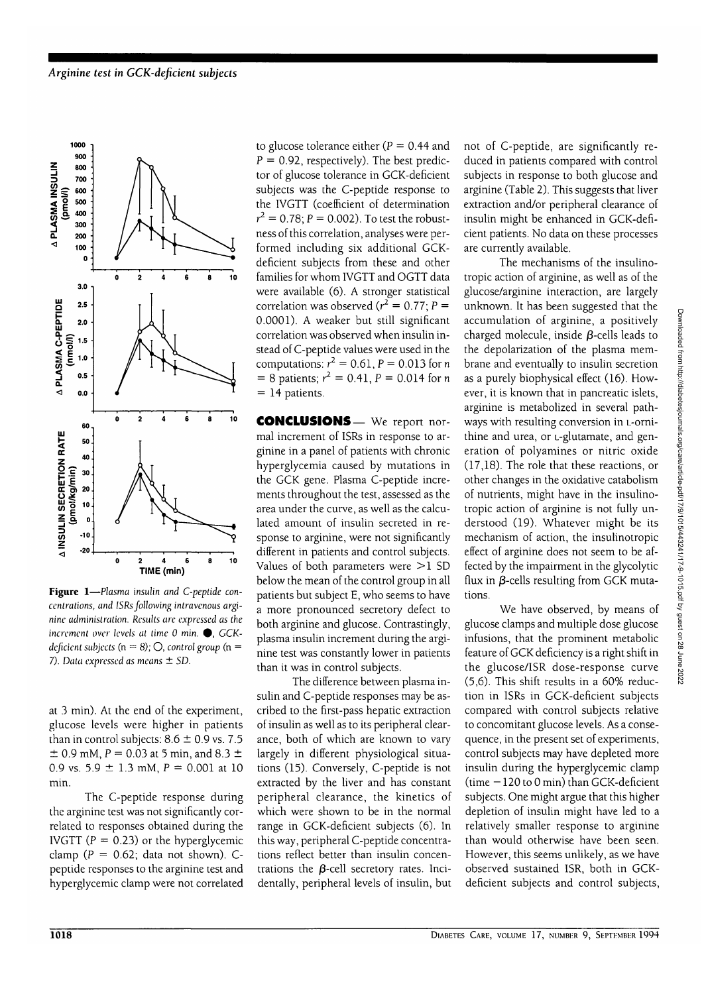

**Figure 1**—*Plasma insulin and C-peptide concentrations, and ISRs following intravenous arginine administration. Results are expressed as the increment over levels at time 0 min.*  $\bullet$ , *GCKdeficient subjects* ( $n = 8$ );  $\bigcirc$ , *control group* ( $n =$ 7). *Data expressed as means ± SD.*

at 3 min). At the end of the experiment, glucose levels were higher in patients than in control subjects:  $8.6 \pm 0.9$  vs. 7.5  $\pm$  0.9 mM, P = 0.03 at 5 min, and 8.3  $\pm$ 0.9 vs.  $5.9 \pm 1.3$  mM,  $P = 0.001$  at 10 min.

The C-peptide response during the arginine test was not significantly correlated to responses obtained during the IVGTT ( $P = 0.23$ ) or the hyperglycemic clamp ( $P = 0.62$ ; data not shown). Cpeptide responses to the arginine test and hyperglycemic clamp were not correlated to glucose tolerance either ( $P = 0.44$  and  $P = 0.92$ , respectively). The best predictor of glucose tolerance in GCK-deficient subjects was the C-peptide response to the IVGTT (coefficient of determination  $r^2 = 0.78; P = 0.002$ ). To test the robustness of this correlation, analyses were performed including six additional GCKdeficient subjects from these and other families for whom IVGTT and OGTT data were available (6). A stronger statistical correlation was observed ( $r^2 = 0.77$ ; P = 0.0001). A weaker but still significant correlation was observed when insulin instead of C-peptide values were used in the computations:  $r^2 = 0.61$ ,  $P = 0.013$  for n  $= 8$  patients;  $r^2 = 0.41$ ,  $P = 0.014$  for n  $= 14$  patients.

CONCLUSIONS— We report normal increment of ISRs in response to arginine in a panel of patients with chronic hyperglycemia caused by mutations in the GCK gene. Plasma C-peptide increments throughout the test, assessed as the area under the curve, as well as the calculated amount of insulin secreted in response to arginine, were not significantly different in patients and control subjects. Values of both parameters were  $>1$  SD below the mean of the control group in all patients but subject E, who seems to have a more pronounced secretory defect to both arginine and glucose. Contrastingly, plasma insulin increment during the arginine test was constantly lower in patients than it was in control subjects.

The difference between plasma insulin and C-peptide responses may be ascribed to the first-pass hepatic extraction of insulin as well as to its peripheral clearance, both of which are known to vary largely in different physiological situations (15). Conversely, C-peptide is not extracted by the liver and has constant peripheral clearance, the kinetics of which were shown to be in the normal range in GCK-deficient subjects (6). In this way, peripheral C-peptide concentrations reflect better than insulin concentrations the  $\beta$ -cell secretory rates. Incidentally, peripheral levels of insulin, but not of C-peptide, are significantly reduced in patients compared with control subjects in response to both glucose and arginine (Table 2). This suggests that liver extraction and/or peripheral clearance of insulin might be enhanced in GCK-deficient patients. No data on these processes are currently available.

The mechanisms of the insulinotropic action of arginine, as well as of the glucose/arginine interaction, are largely unknown. It has been suggested that the accumulation of arginine, a positively charged molecule, inside  $\beta$ -cells leads to the depolarization of the plasma membrane and eventually to insulin secretion as a purely biophysical effect (16). However, it is known that in pancreatic islets, arginine is metabolized in several pathways with resulting conversion in L-ornithine and urea, or L-glutamate, and generation of polyamines or nitric oxide (17,18). The role that these reactions, or other changes in the oxidative catabolism of nutrients, might have in the insulinotropic action of arginine is not fully understood (19). Whatever might be its mechanism of action, the insulinotropic effect of arginine does not seem to be affected by the impairment in the glycolytic flux in  $\beta$ -cells resulting from GCK mutations.

We have observed, by means of glucose clamps and multiple dose glucose infusions, that the prominent metabolic feature of GCK deficiency is a right shift in the glucose/ISR dose-response curve (5,6). This shift results in a 60% reduction in ISRs in GCK-deficient subjects compared with control subjects relative to concomitant glucose levels. As a consequence, in the present set of experiments, control subjects may have depleted more insulin during the hyperglycemic clamp (time  $-120$  to 0 min) than GCK-deficient subjects. One might argue that this higher depletion of insulin might have led to a relatively smaller response to arginine than would otherwise have been seen. However, this seems unlikely, as we have observed sustained ISR, both in GCKdeficient subjects and control subjects,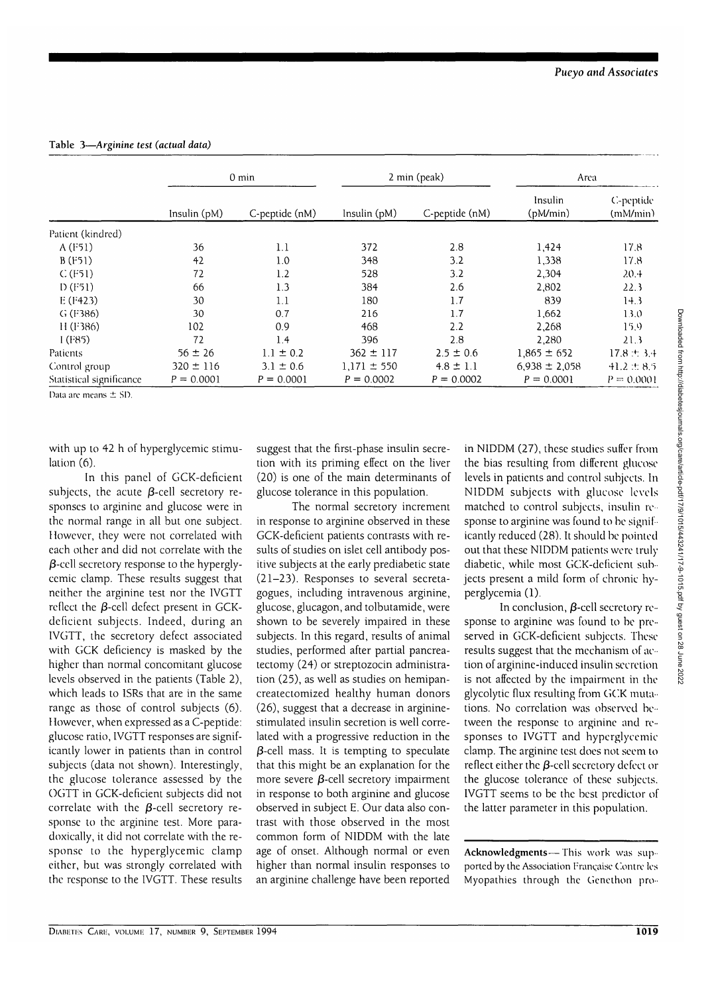**Table 3—***Arginine test (actual data)*

|                          |               | $0 \text{ min}$ | 2 min (peak)    |                | Area                |                       |
|--------------------------|---------------|-----------------|-----------------|----------------|---------------------|-----------------------|
|                          | Insulin (pM)  | C-peptide (nM)  | Insulin $(pM)$  | C-peptide (nM) | Insulin<br>(pM/min) | C-peptide<br>(mM/min) |
| Patient (kindred)        |               |                 |                 |                |                     |                       |
| $A$ (F51)                | 36            | 1.1             | 372             | 2.8            | 1,424               | 17.8                  |
| B(F51)                   | 42            | 1.0             | 348             | 3.2            | 1,338               | 17.8                  |
| C(F51)                   | 72            | 1.2             | 528             | 3.2            | 2,304               | 20.4                  |
| D(F51)                   | 66            | 1.3             | 384             | 2.6            | 2,802               | 22.3                  |
| E(F423)                  | 30            | 1.1             | 180             | 1.7            | 839                 | 14.3                  |
| $G$ (F386)               | 30            | 0.7             | 216             | 1.7            | 1,662               | 13.0                  |
| H(F386)                  | 102           | 0.9             | 468             | 2.2            | 2,268               | 15.9                  |
| 1(F85)                   | 72            | 1.4             | 396             | 2.8            | 2,280               | 21.3                  |
| Patients                 | $56 \pm 26$   | $1.1 \pm 0.2$   | $362 \pm 117$   | $2.5 \pm 0.6$  | $1.865 \pm 652$     | $17.8 \pm 3.4$        |
| Control group            | $320 \pm 116$ | $3.1 \pm 0.6$   | $1.171 \pm 550$ | $4.8 \pm 1.1$  | $6,938 \pm 2,058$   | $41.2 \pm 8.5$        |
| Statistical significance | $P = 0.0001$  | $P = 0.0001$    | $P = 0.0002$    | $P = 0.0002$   | $P = 0.0001$        | $P = 0.0001$          |

Data arc means ± SD.

with up to 42 h of hyperglycemic stimulation (6).

In this panel of GCK-deficient subjects, the acute  $\beta$ -cell secretory responses to arginine and glucose were in the normal range in all but one subject. However, they were not correlated with each other and did not correlate with the  $\beta$ -cell secretory response to the hyperglycemic clamp. These results suggest that neither the arginine test nor the IVGTT reflect the  $\beta$ -cell defect present in GCKdeficient subjects. Indeed, during an IVGTT, the secretory defect associated with GCK deficiency is masked by the higher than normal concomitant glucose levels observed in the patients (Table 2), which leads to ISRs that are in the same range as those of control subjects (6). However, when expressed as a C-peptide: glucose ratio, IVGTT responses are significantly lower in patients than in control subjects (data not shown). Interestingly, the glucose tolerance assessed by the OGTT in GCK-deficient subjects did not correlate with the  $\beta$ -cell secretory response to the arginine test. More paradoxically, it did not correlate with the response to the hyperglycemic clamp either, but was strongly correlated with the response to the IVGTT. These results

suggest that the first-phase insulin secretion with its priming effect on the liver (20) is one of the main determinants of glucose tolerance in this population.

The normal secretory increment in response to arginine observed in these GCK-deficient patients contrasts with results of studies on islet cell antibody positive subjects at the early prediabetic state (21-23). Responses to several secretagogues, including intravenous arginine, glucose, glucagon, and tolbutamide, were shown to be severely impaired in these subjects. In this regard, results of animal studies, performed after partial pancreatectomy (24) or streptozocin administration (25), as well as studies on hemipancreatectomized healthy human donors (26), suggest that a decrease in arginine stimulated insulin secretion is well correlated with a progressive reduction in the  $\beta$ -cell mass. It is tempting to speculate that this might be an explanation for the more severe  $\beta$ -cell secretory impairment in response to both arginine and glucose observed in subject E. Our data also contrast with those observed in the most common form of NIDDM with the late age of onset. Although normal or even higher than normal insulin responses to an arginine challenge have been reported

in NIDDM (27), these studies suffer from the bias resulting from different glucose levels in patients and control subjects. In NIDDM subjects with glucose levels matched to control subjects, insulin re sponse to arginine was found to be significantly reduced (28). It should be pointed out that these NIDDM patients were truly diabetic, while most GCK-deficient subjects present a mild form of chronic hyperglycemia (1).

In conclusion,  $\beta$ -cell secretory response to arginine was found to be preserved in GCK-deficient subjects. These results suggest that the mechanism of action of arginine-induced insulin secretion is not affected by the impairment in the glycolytic flux resulting from GCK mutations. No correlation was observed between the response to arginine and responses to IVGTT and hyperglycemic clamp. The arginine test does not seem to reflect either the  $\beta$ -cell secretory defect or the glucose tolerance of these subjects. IVGTT seems to be the best predictor of the latter parameter in this population.

**Acknowledgments**—This work was sup ported by the Association Française Contre les Myopathies through the Genethon pro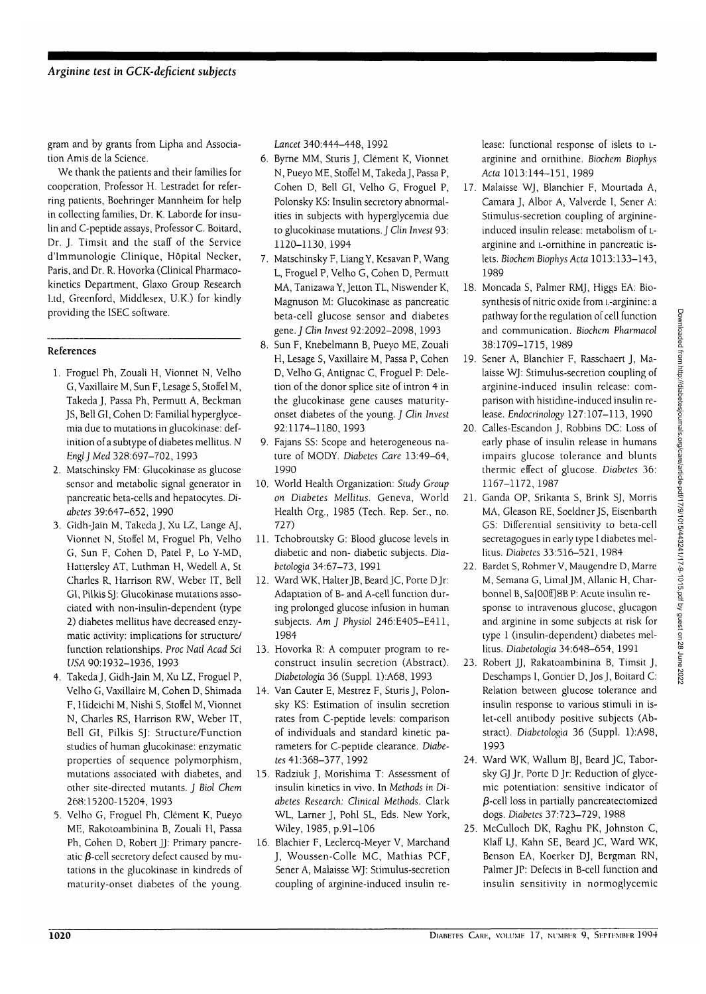gram and by grants from Lipha and Association Amis de la Science.

We thank the patients and their families for cooperation, Professor H. Lestradet for referring patients, Boehringer Mannheim for help in collecting families, Dr. K. Laborde for insulin and C-peptide assays, Professor C. Boitard, Dr. J. Timsit and the staff of the Service d'lmmunologie Clinique, Hopital Necker, Paris, and Dr. R. Hovorka (Clinical Pharmacokinetics Department, Glaxo Group Research Ltd, Greenford, Middlesex, U.K.) for kindly providing the ISEC software.

## References

- 1. Froguel Ph, Zouali H, Vionnet N, Velho G, Vaxillaire M, Sun F, Lesage S, Stoffel M, Takeda J, Passa Ph, Permutt A, Beckman JS, Bell GI, Cohen D: Familial hyperglycemia due to mutations in glucokinase: definition of a subtype of diabetes mellitus. N *EnglJ Med* 328:697-702, 1993
- 2. Matschinsky FM: Glucokinase as glucose sensor and metabolic signal generator in pancreatic beta-cells and hepatocytes. *Diabetes* 39:647-652, 1990
- 3. Gidh-Jain M, Takeda J, Xu LZ, Lange AJ, Vionnet N, Stoffel M, Froguel Ph, Velho G, Sun F, Cohen D, Patel P, Lo Y-MD, Hattersley AT, Luthman H, Wedell A, St Charles R, Harrison RW, Weber IT, Bell GI, Pilkis SJ: Glucokinase mutations associated with non-insulin-dependent (type 2) diabetes mellitus have decreased enzymatic activity: implications for structure/ function relationships. *Proc Natl Acad Sci USA* 90:1932-1936, 1993
- 4. Takeda J, Gidh-Jain M, Xu LZ, Froguel P, Velho G, Vaxillaire M, Cohen D, Shimada F, Hideichi M, Nishi S, Stoffel M, Vionnet N, Charles RS, Harrison RW, Weber IT, Bell GI, Pilkis SJ: Structure/Function studies of human glucokinase: enzymatic properties of sequence polymorphism, mutations associated with diabetes, and other site-directed mutants. J *Biol Chem* 268:15200-15204, 1993
- 5. Velho G, Froguel Ph, Clement K, Pueyo ME, Rakotoambinina B, Zouali H, Passa Ph, Cohen D, Robert JJ: Primary pancreatic  $\beta$ -cell secretory defect caused by mutations in the glucokinase in kindreds of maturity-onset diabetes of the young.

*Lancet* 340:444-448, 1992

- 6. Byrne MM, Sturis J, Clement K, Vionnet N, Pueyo ME, Stoffel M, Takeda J, Passa P, Cohen D, Bell GI, Velho G, Froguel P, Polonsky KS: Insulin secretory abnormalities in subjects with hyperglycemia due to glucokinase mutations. J *Clin Invest* 93: 1120-1130, 1994
- 7. Matschinsky F, Liang Y, Kesavan P, Wang L, Froguel P, Velho G, Cohen D, Permutt MA, Tanizawa Y, Jetton TL, Niswender K, Magnuson M: Glucokinase as pancreatic beta-cell glucose sensor and diabetes gene. *J Clin Invest* 92:2092-2098, 1993
- 8. Sun F, Knebelmann B, Pueyo ME, Zouali H, Lesage S, Vaxillaire M, Passa P, Cohen D, Velho G, Antignac C, Froguel P: Deletion of the donor splice site of intron 4 in the glucokinase gene causes maturityonset diabetes of the young. J *Clin Invest* 92:1174-1180,1993
- 9. Fajans SS: Scope and heterogeneous nature of MODY. *Diabetes Care* 13:49-64, 1990
- 10. World Health Organization: Study *Group on Diabetes Mellitus.* Geneva, World Health Org., 1985 (Tech. Rep. Ser., no. 727)
- 11. Tchobroutsky G: Blood glucose levels in diabetic and non- diabetic subjects. *Diabetologia* 34:67-73, 1991
- 12. Ward WK, Halter JB, Beard JC, Porte DJr: Adaptation of B- and A-cell function during prolonged glucose infusion in human subjects. *Am J Physiol* 246:E405-E411, 1984
- 13. Hovorka R: A computer program to reconstruct insulin secretion (Abstract). *Diabetologia* 36 (Suppl. 1):A68, 1993
- 14. Van Cauter E, Mestrez F, Sturis J, Polonsky KS: Estimation of insulin secretion rates from C-peptide levels: comparison of individuals and standard kinetic parameters for C-peptide clearance. *Diabetes* 41:368-377, 1992
- 15. Radziuk J, Morishima T: Assessment of insulin kinetics in vivo. In *Methods in Diabetes Research: Clinical Methods.* Clark WL, Lamer J, Pohl SL, Eds. New York, Wiley, 1985, p.91-106
- 16. Blachier F, Leclercq-Meyer V, Marchand J, Woussen-Colle MC, Mathias PCF, Sener A, Malaisse WJ: Stimulus-secretion coupling of arginine-induced insulin re-

lease: functional response of islets to i. arginine and ornithine. *Biochem Biophys Ada* 1013:144-151, 1989

- 17. Malaisse WJ, Blanchier F, Mourtada A, Camara J, Albor A, Valverde I, Sener A: Stimulus-secretion coupling of arginineinduced insulin release: metabolism of Larginine and L-ornithine in pancreatic islets. *Biochem Biophys Ada* 1013:133-143, 1989
- 18. Moncada S, Palmer RMJ, Higgs EA: Biosynthesis of nitric oxide from i.-arginine: a pathway for the regulation of cell function and communication. *Biochem Pharniacol* 38:1709-1715, 1989
- 19. Sener A, Blanchier F, Rasschaert J, Malaisse WJ: Stimulus-secretion coupling of arginine-induced insulin release: comparison with histidine-induced insulin release. *Endocrinology* 127:107-113, 1990
- 20. Calles-Escandon J, Robbins DC: Loss of early phase of insulin release in humans impairs glucose tolerance and blunts thermic effect of glucose. *Diabetes* 36: 1167-1172, 1987
- 21. Ganda OP, Srikanta S, Brink SJ, Morris MA, Gleason RE, Soeldner JS, Eisenbarth GS: Differential sensitivity to beta-cell secretagogues in early type I diabetes mellitus. *Diabetes* 33:516-521, 1984
- 22. Bardet S, Rohmer V, Maugendre D, Marre M, Semana G, LimalJM, Allanic H, Charbonnel B, Sa[00ff]8B P: Acute insulin response to intravenous glucose, glucagon and arginine in some subjects at risk for type 1 (insulin-dependent) diabetes mellitus. *Diabetologia* 34:648-654, 1991
- 23. Robert JJ, Rakatoambinina B, Timsit J, Deschamps I, Gontier D, JosJ, Boitard C: Relation between glucose tolerance and insulin response to various stimuli in islet-cell antibody positive subjects (Abstract). *Diabetologia* 36 (Suppl. 1):A98, 1993
- 24. Ward WK, Wallum BJ, Beard JC, Taborsky GJ Jr, Porte DJr: Reduction of glycemic potentiation: sensitive indicator of  $\beta$ -cell loss in partially pancreatectomized dogs. *Diabetes* 37:723-729, 1988
- 25. McCulloch DK, Raghu PK, Johnston C, Klaff LJ, Kahn SE, Beard JC, Ward WK, Benson EA, Koerker DJ, Bergman RN, Palmer JP: Defects in B-cell function and insulin sensitivity in normoglycemic